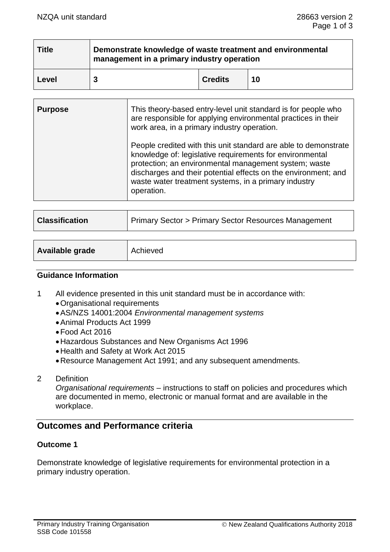| <b>Title</b> | Demonstrate knowledge of waste treatment and environmental<br>management in a primary industry operation |                |    |
|--------------|----------------------------------------------------------------------------------------------------------|----------------|----|
| Level        |                                                                                                          | <b>Credits</b> | 10 |

| <b>Purpose</b> | This theory-based entry-level unit standard is for people who<br>are responsible for applying environmental practices in their<br>work area, in a primary industry operation.                                                                                                                                                |
|----------------|------------------------------------------------------------------------------------------------------------------------------------------------------------------------------------------------------------------------------------------------------------------------------------------------------------------------------|
|                | People credited with this unit standard are able to demonstrate<br>knowledge of: legislative requirements for environmental<br>protection; an environmental management system; waste<br>discharges and their potential effects on the environment; and<br>waste water treatment systems, in a primary industry<br>operation. |

| <b>Classification</b> | Primary Sector > Primary Sector Resources Management |
|-----------------------|------------------------------------------------------|
|                       |                                                      |

| Available grade | Achieved |
|-----------------|----------|
|-----------------|----------|

#### **Guidance Information**

- 1 All evidence presented in this unit standard must be in accordance with:
	- •Organisational requirements
	- •AS/NZS 14001:2004 *Environmental management systems*
	- •Animal Products Act 1999
	- •Food Act 2016
	- •Hazardous Substances and New Organisms Act 1996
	- •Health and Safety at Work Act 2015
	- •Resource Management Act 1991; and any subsequent amendments.
- 2 Definition

*Organisational requirements* – instructions to staff on policies and procedures which are documented in memo, electronic or manual format and are available in the workplace.

# **Outcomes and Performance criteria**

#### **Outcome 1**

Demonstrate knowledge of legislative requirements for environmental protection in a primary industry operation.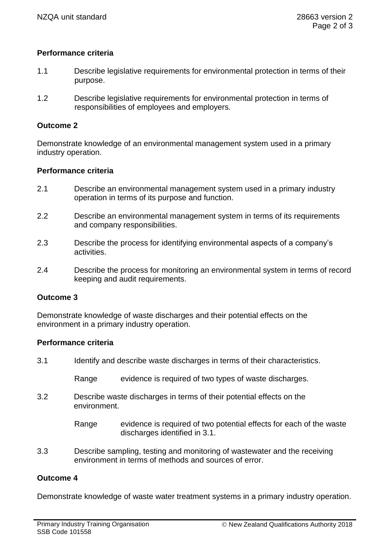# **Performance criteria**

- 1.1 Describe legislative requirements for environmental protection in terms of their purpose.
- 1.2 Describe legislative requirements for environmental protection in terms of responsibilities of employees and employers.

### **Outcome 2**

Demonstrate knowledge of an environmental management system used in a primary industry operation.

# **Performance criteria**

- 2.1 Describe an environmental management system used in a primary industry operation in terms of its purpose and function.
- 2.2 Describe an environmental management system in terms of its requirements and company responsibilities.
- 2.3 Describe the process for identifying environmental aspects of a company's activities.
- 2.4 Describe the process for monitoring an environmental system in terms of record keeping and audit requirements.

### **Outcome 3**

Demonstrate knowledge of waste discharges and their potential effects on the environment in a primary industry operation.

### **Performance criteria**

3.1 Identify and describe waste discharges in terms of their characteristics.

Range evidence is required of two types of waste discharges.

3.2 Describe waste discharges in terms of their potential effects on the environment.

> Range evidence is required of two potential effects for each of the waste discharges identified in 3.1.

3.3 Describe sampling, testing and monitoring of wastewater and the receiving environment in terms of methods and sources of error.

### **Outcome 4**

Demonstrate knowledge of waste water treatment systems in a primary industry operation.